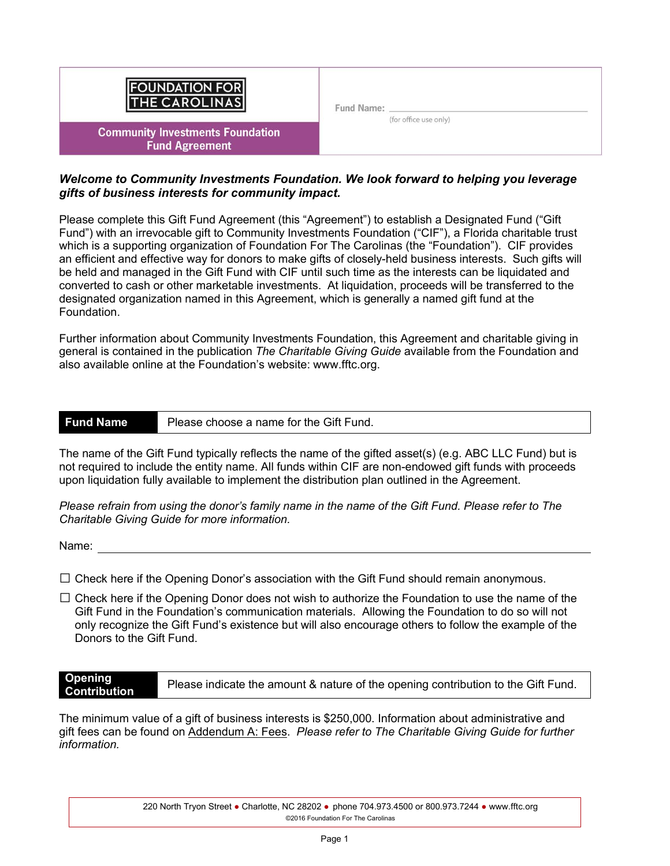

## *Welcome to Community Investments Foundation. We look forward to helping you leverage gifts of business interests for community impact.*

Please complete this Gift Fund Agreement (this "Agreement") to establish a Designated Fund ("Gift Fund") with an irrevocable gift to Community Investments Foundation ("CIF"), a Florida charitable trust which is a supporting organization of Foundation For The Carolinas (the "Foundation"). CIF provides an efficient and effective way for donors to make gifts of closely-held business interests. Such gifts will be held and managed in the Gift Fund with CIF until such time as the interests can be liquidated and converted to cash or other marketable investments. At liquidation, proceeds will be transferred to the designated organization named in this Agreement, which is generally a named gift fund at the Foundation.

Further information about Community Investments Foundation, this Agreement and charitable giving in general is contained in the publication *The Charitable Giving Guide* available from the Foundation and also available online at the Foundation's website: www.fftc.org.

**Fund Name** Please choose a name for the Gift Fund.

The name of the Gift Fund typically reflects the name of the gifted asset(s) (e.g. ABC LLC Fund) but is not required to include the entity name. All funds within CIF are non-endowed gift funds with proceeds upon liquidation fully available to implement the distribution plan outlined in the Agreement.

*Please refrain from using the donor's family name in the name of the Gift Fund. Please refer to The Charitable Giving Guide for more information.* 

Name:

 $\square$  Check here if the Opening Donor's association with the Gift Fund should remain anonymous.

 $\square$  Check here if the Opening Donor does not wish to authorize the Foundation to use the name of the Gift Fund in the Foundation's communication materials. Allowing the Foundation to do so will not only recognize the Gift Fund's existence but will also encourage others to follow the example of the Donors to the Gift Fund.

**Opening** 

Please indicate the amount & nature of the opening contribution to the Gift Fund.

The minimum value of a gift of business interests is \$250,000. Information about administrative and gift fees can be found on Addendum A: Fees. *Please refer to The Charitable Giving Guide for further information.*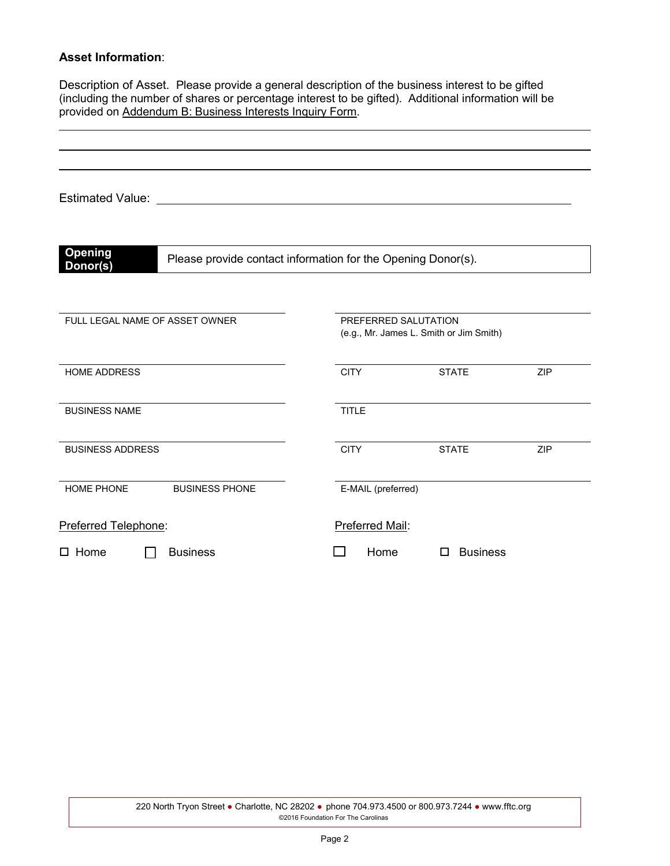# **Asset Information**:

Description of Asset. Please provide a general description of the business interest to be gifted (including the number of shares or percentage interest to be gifted). Additional information will be provided on Addendum B: Business Interests Inquiry Form.

| <b>Estimated Value:</b>                                                             |              |                      |                                         |            |
|-------------------------------------------------------------------------------------|--------------|----------------------|-----------------------------------------|------------|
| Opening<br>Please provide contact information for the Opening Donor(s).<br>Donor(s) |              |                      |                                         |            |
|                                                                                     |              |                      |                                         |            |
| FULL LEGAL NAME OF ASSET OWNER                                                      |              | PREFERRED SALUTATION | (e.g., Mr. James L. Smith or Jim Smith) |            |
| <b>HOME ADDRESS</b>                                                                 | <b>CITY</b>  |                      | <b>STATE</b>                            | <b>ZIP</b> |
| <b>BUSINESS NAME</b>                                                                | <b>TITLE</b> |                      |                                         |            |
| <b>BUSINESS ADDRESS</b>                                                             | <b>CITY</b>  |                      | <b>STATE</b>                            | <b>ZIP</b> |
| HOME PHONE<br><b>BUSINESS PHONE</b>                                                 |              | E-MAIL (preferred)   |                                         |            |
| Preferred Telephone:                                                                |              | Preferred Mail:      |                                         |            |
| <b>Business</b><br>$\square$ Home                                                   |              | Home                 | <b>Business</b><br>П                    |            |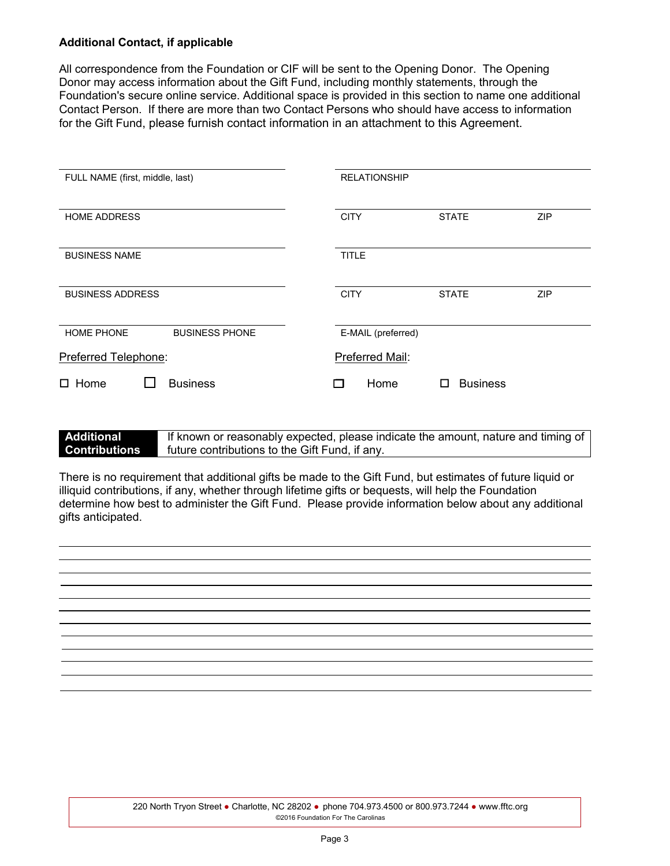# **Additional Contact, if applicable**

All correspondence from the Foundation or CIF will be sent to the Opening Donor. The Opening Donor may access information about the Gift Fund, including monthly statements, through the Foundation's secure online service. Additional space is provided in this section to name one additional Contact Person. If there are more than two Contact Persons who should have access to information for the Gift Fund, please furnish contact information in an attachment to this Agreement.

| FULL NAME (first, middle, last)            | <b>RELATIONSHIP</b>                       |
|--------------------------------------------|-------------------------------------------|
| <b>HOME ADDRESS</b>                        | <b>CITY</b><br><b>ZIP</b><br><b>STATE</b> |
| <b>BUSINESS NAME</b>                       | TITLE                                     |
| <b>BUSINESS ADDRESS</b>                    | <b>ZIP</b><br><b>CITY</b><br><b>STATE</b> |
| <b>HOME PHONE</b><br><b>BUSINESS PHONE</b> | E-MAIL (preferred)                        |
| Preferred Telephone:                       | Preferred Mail:                           |
| <b>Business</b><br>$\Box$ Home             | Home<br><b>Business</b><br>П              |

| Additional           | If known or reasonably expected, please indicate the amount, nature and timing of |
|----------------------|-----------------------------------------------------------------------------------|
| <b>Contributions</b> | future contributions to the Gift Fund, if any.                                    |

There is no requirement that additional gifts be made to the Gift Fund, but estimates of future liquid or illiquid contributions, if any, whether through lifetime gifts or bequests, will help the Foundation determine how best to administer the Gift Fund. Please provide information below about any additional gifts anticipated.

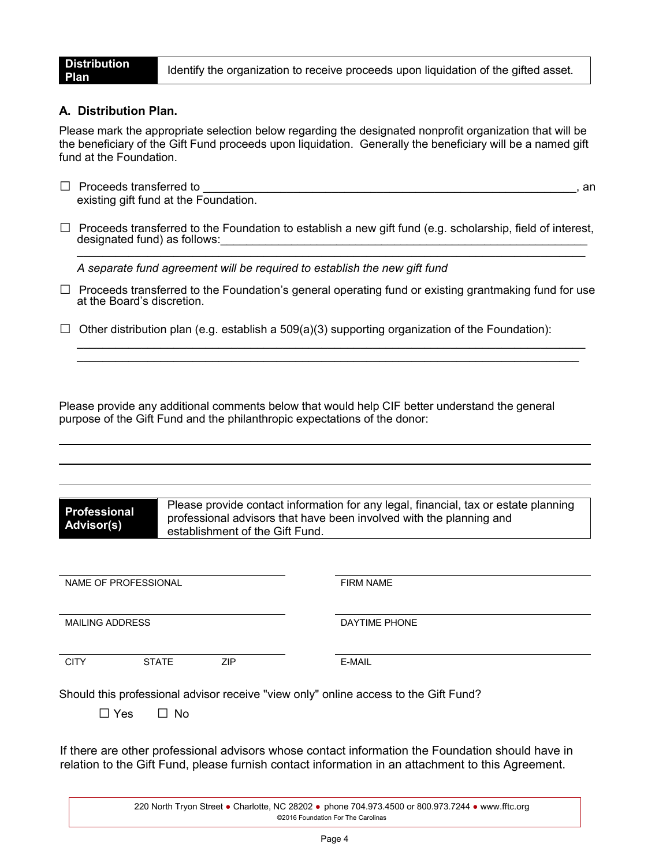**Plan** Identify the organization to receive proceeds upon liquidation of the gifted asset.

# **A. Distribution Plan.**

Please mark the appropriate selection below regarding the designated nonprofit organization that will be the beneficiary of the Gift Fund proceeds upon liquidation. Generally the beneficiary will be a named gift fund at the Foundation.

- □ Proceeds transferred to \_\_\_\_\_\_\_\_\_\_\_\_\_\_\_\_\_\_\_\_\_\_\_\_\_\_\_\_\_\_\_\_\_\_\_\_\_\_\_\_\_\_\_\_\_\_\_\_\_\_\_\_\_\_\_\_\_\_, an existing gift fund at the Foundation.
- $\Box$  Proceeds transferred to the Foundation to establish a new gift fund (e.g. scholarship, field of interest, designated fund) as follows: \_\_\_\_\_\_\_\_\_\_\_\_\_\_\_\_\_\_\_\_\_\_\_\_\_\_\_\_\_\_\_\_\_\_\_\_\_\_\_\_\_\_\_\_\_\_\_\_\_\_\_\_\_\_\_\_\_\_\_\_\_\_\_\_\_\_\_\_\_\_\_\_\_\_\_\_\_\_\_

*A separate fund agreement will be required to establish the new gift fund*

 $\Box$  Proceeds transferred to the Foundation's general operating fund or existing grantmaking fund for use at the Board's discretion.

\_\_\_\_\_\_\_\_\_\_\_\_\_\_\_\_\_\_\_\_\_\_\_\_\_\_\_\_\_\_\_\_\_\_\_\_\_\_\_\_\_\_\_\_\_\_\_\_\_\_\_\_\_\_\_\_\_\_\_\_\_\_\_\_\_\_\_\_\_\_\_\_\_\_\_\_\_\_\_ \_\_\_\_\_\_\_\_\_\_\_\_\_\_\_\_\_\_\_\_\_\_\_\_\_\_\_\_\_\_\_\_\_\_\_\_\_\_\_\_\_\_\_\_\_\_\_\_\_\_\_\_\_\_\_\_\_\_\_\_\_\_\_\_\_\_\_\_\_\_\_\_\_\_\_\_\_\_

 $\Box$  Other distribution plan (e.g. establish a 509(a)(3) supporting organization of the Foundation):

Please provide any additional comments below that would help CIF better understand the general purpose of the Gift Fund and the philanthropic expectations of the donor:

**Professional Advisor(s)**

Please provide contact information for any legal, financial, tax or estate planning professional advisors that have been involved with the planning and establishment of the Gift Fund.

|                        | NAME OF PROFESSIONAL |            | <b>FIRM NAME</b>                                                                     |
|------------------------|----------------------|------------|--------------------------------------------------------------------------------------|
|                        |                      |            |                                                                                      |
| <b>MAILING ADDRESS</b> |                      |            | DAYTIME PHONE                                                                        |
|                        |                      |            |                                                                                      |
| <b>CITY</b>            | <b>STATE</b>         | <b>ZIP</b> | E-MAIL                                                                               |
| $\Box$ Yes             | $\Box$ No            |            | Should this professional advisor receive "view only" online access to the Gift Fund? |
|                        |                      |            |                                                                                      |

If there are other professional advisors whose contact information the Foundation should have in relation to the Gift Fund, please furnish contact information in an attachment to this Agreement.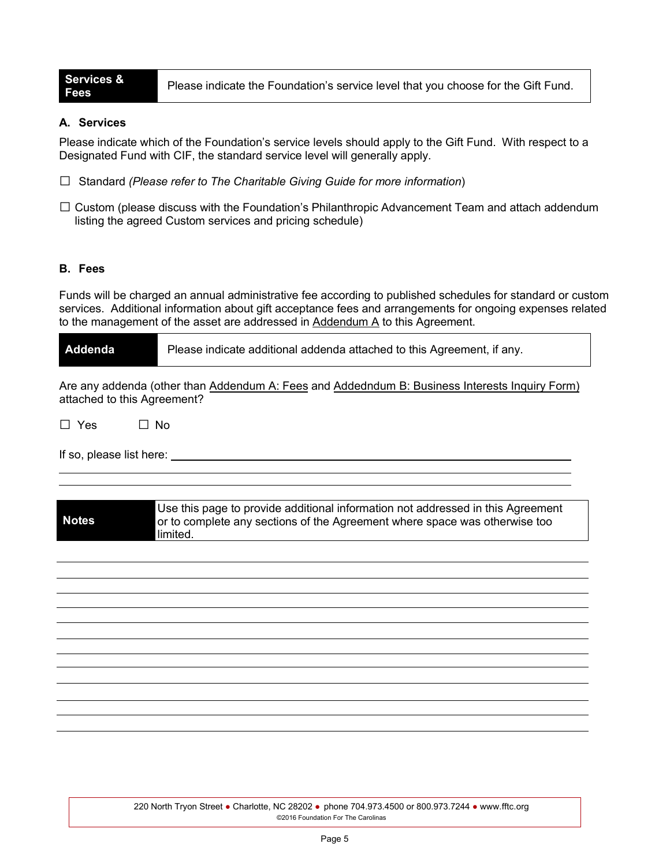**Services &** 

**Fees** Rease indicate the Foundation's service level that you choose for the Gift Fund.

## **A. Services**

Please indicate which of the Foundation's service levels should apply to the Gift Fund. With respect to a Designated Fund with CIF, the standard service level will generally apply.

- □ Standard *(Please refer to The Charitable Giving Guide for more information*)
- $\Box$  Custom (please discuss with the Foundation's Philanthropic Advancement Team and attach addendum listing the agreed Custom services and pricing schedule)

## **B. Fees**

Funds will be charged an annual administrative fee according to published schedules for standard or custom services. Additional information about gift acceptance fees and arrangements for ongoing expenses related to the management of the asset are addressed in Addendum A to this Agreement.

| Addenda | Please indicate additional addenda attached to this Agreement, if any. |
|---------|------------------------------------------------------------------------|
|         |                                                                        |

Are any addenda (other than Addendum A: Fees and Addedndum B: Business Interests Inquiry Form) attached to this Agreement?

| $\Box$ Yes |  | $\Box$ No |
|------------|--|-----------|
|            |  |           |

If so, please list here:

**Notes** Use this page to provide additional information not addressed in this Agreement or to complete any sections of the Agreement where space was otherwise too limited.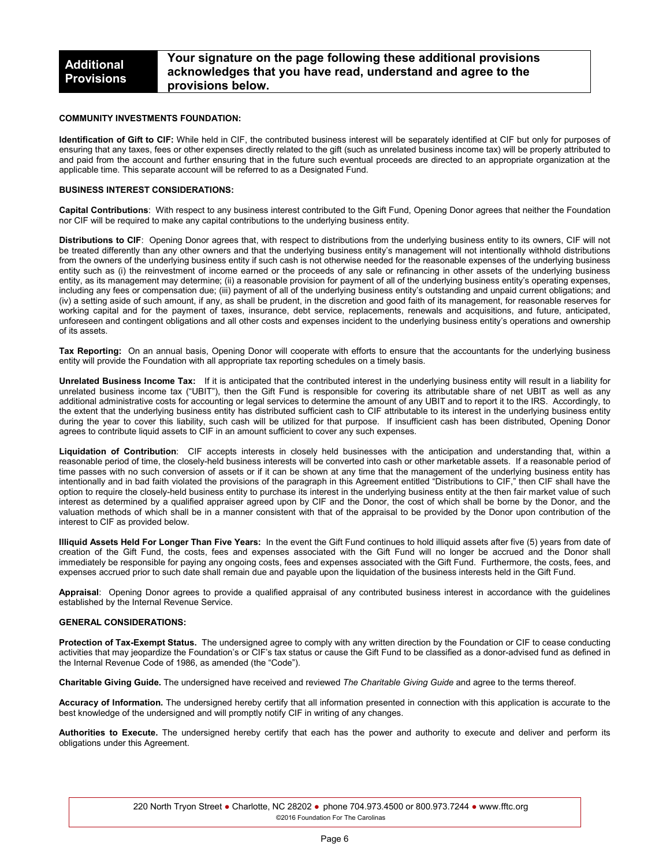### **COMMUNITY INVESTMENTS FOUNDATION:**

**Identification of Gift to CIF:** While held in CIF, the contributed business interest will be separately identified at CIF but only for purposes of ensuring that any taxes, fees or other expenses directly related to the gift (such as unrelated business income tax) will be properly attributed to and paid from the account and further ensuring that in the future such eventual proceeds are directed to an appropriate organization at the applicable time. This separate account will be referred to as a Designated Fund.

#### **BUSINESS INTEREST CONSIDERATIONS:**

**Capital Contributions**: With respect to any business interest contributed to the Gift Fund, Opening Donor agrees that neither the Foundation nor CIF will be required to make any capital contributions to the underlying business entity.

**Distributions to CIF**: Opening Donor agrees that, with respect to distributions from the underlying business entity to its owners, CIF will not be treated differently than any other owners and that the underlying business entity's management will not intentionally withhold distributions from the owners of the underlying business entity if such cash is not otherwise needed for the reasonable expenses of the underlying business entity such as (i) the reinvestment of income earned or the proceeds of any sale or refinancing in other assets of the underlying business entity, as its management may determine; (ii) a reasonable provision for payment of all of the underlying business entity's operating expenses, including any fees or compensation due; (iii) payment of all of the underlying business entity's outstanding and unpaid current obligations; and (iv) a setting aside of such amount, if any, as shall be prudent, in the discretion and good faith of its management, for reasonable reserves for working capital and for the payment of taxes, insurance, debt service, replacements, renewals and acquisitions, and future, anticipated, unforeseen and contingent obligations and all other costs and expenses incident to the underlying business entity's operations and ownership of its assets.

**Tax Reporting:** On an annual basis, Opening Donor will cooperate with efforts to ensure that the accountants for the underlying business entity will provide the Foundation with all appropriate tax reporting schedules on a timely basis.

**Unrelated Business Income Tax:** If it is anticipated that the contributed interest in the underlying business entity will result in a liability for unrelated business income tax ("UBIT"), then the Gift Fund is responsible for covering its attributable share of net UBIT as well as any additional administrative costs for accounting or legal services to determine the amount of any UBIT and to report it to the IRS. Accordingly, to the extent that the underlying business entity has distributed sufficient cash to CIF attributable to its interest in the underlying business entity during the year to cover this liability, such cash will be utilized for that purpose. If insufficient cash has been distributed, Opening Donor agrees to contribute liquid assets to CIF in an amount sufficient to cover any such expenses.

**Liquidation of Contribution**: CIF accepts interests in closely held businesses with the anticipation and understanding that, within a reasonable period of time, the closely-held business interests will be converted into cash or other marketable assets. If a reasonable period of time passes with no such conversion of assets or if it can be shown at any time that the management of the underlying business entity has intentionally and in bad faith violated the provisions of the paragraph in this Agreement entitled "Distributions to CIF," then CIF shall have the option to require the closely-held business entity to purchase its interest in the underlying business entity at the then fair market value of such interest as determined by a qualified appraiser agreed upon by CIF and the Donor, the cost of which shall be borne by the Donor, and the valuation methods of which shall be in a manner consistent with that of the appraisal to be provided by the Donor upon contribution of the interest to CIF as provided below.

**Illiquid Assets Held For Longer Than Five Years:** In the event the Gift Fund continues to hold illiquid assets after five (5) years from date of creation of the Gift Fund, the costs, fees and expenses associated with the Gift Fund will no longer be accrued and the Donor shall immediately be responsible for paying any ongoing costs, fees and expenses associated with the Gift Fund. Furthermore, the costs, fees, and expenses accrued prior to such date shall remain due and payable upon the liquidation of the business interests held in the Gift Fund.

**Appraisal**: Opening Donor agrees to provide a qualified appraisal of any contributed business interest in accordance with the guidelines established by the Internal Revenue Service.

#### **GENERAL CONSIDERATIONS:**

**Protection of Tax-Exempt Status.** The undersigned agree to comply with any written direction by the Foundation or CIF to cease conducting activities that may jeopardize the Foundation's or CIF's tax status or cause the Gift Fund to be classified as a donor-advised fund as defined in the Internal Revenue Code of 1986, as amended (the "Code").

**Charitable Giving Guide.** The undersigned have received and reviewed *The Charitable Giving Guide* and agree to the terms thereof.

**Accuracy of Information.** The undersigned hereby certify that all information presented in connection with this application is accurate to the best knowledge of the undersigned and will promptly notify CIF in writing of any changes.

**Authorities to Execute.** The undersigned hereby certify that each has the power and authority to execute and deliver and perform its obligations under this Agreement.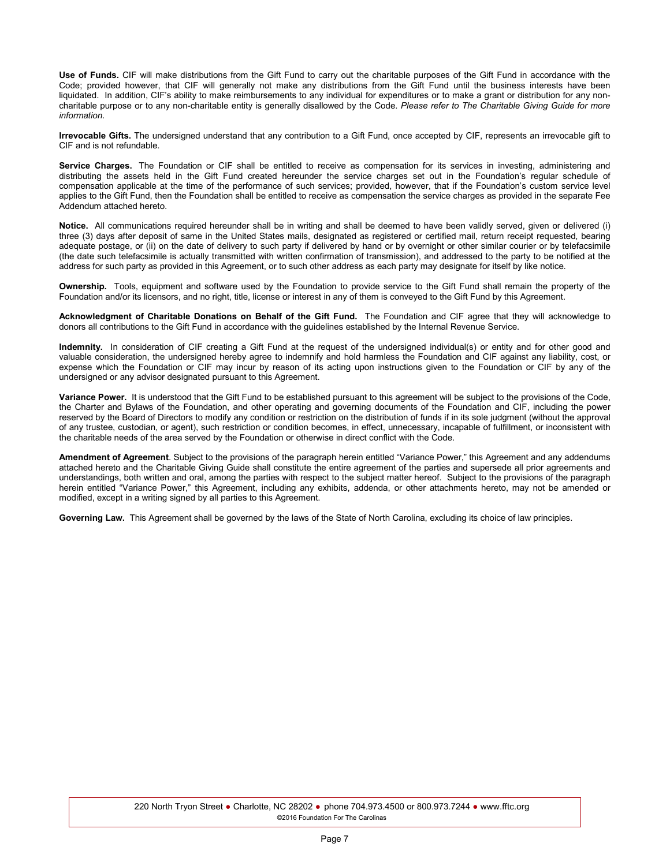**Use of Funds.** CIF will make distributions from the Gift Fund to carry out the charitable purposes of the Gift Fund in accordance with the Code; provided however, that CIF will generally not make any distributions from the Gift Fund until the business interests have been liquidated. In addition, CIF's ability to make reimbursements to any individual for expenditures or to make a grant or distribution for any noncharitable purpose or to any non-charitable entity is generally disallowed by the Code. *Please refer to The Charitable Giving Guide for more information.*

**Irrevocable Gifts.** The undersigned understand that any contribution to a Gift Fund, once accepted by CIF, represents an irrevocable gift to CIF and is not refundable.

**Service Charges.** The Foundation or CIF shall be entitled to receive as compensation for its services in investing, administering and distributing the assets held in the Gift Fund created hereunder the service charges set out in the Foundation's regular schedule of compensation applicable at the time of the performance of such services; provided, however, that if the Foundation's custom service level applies to the Gift Fund, then the Foundation shall be entitled to receive as compensation the service charges as provided in the separate Fee Addendum attached hereto.

**Notice.** All communications required hereunder shall be in writing and shall be deemed to have been validly served, given or delivered (i) three (3) days after deposit of same in the United States mails, designated as registered or certified mail, return receipt requested, bearing adequate postage, or (ii) on the date of delivery to such party if delivered by hand or by overnight or other similar courier or by telefacsimile (the date such telefacsimile is actually transmitted with written confirmation of transmission), and addressed to the party to be notified at the address for such party as provided in this Agreement, or to such other address as each party may designate for itself by like notice.

**Ownership.** Tools, equipment and software used by the Foundation to provide service to the Gift Fund shall remain the property of the Foundation and/or its licensors, and no right, title, license or interest in any of them is conveyed to the Gift Fund by this Agreement.

**Acknowledgment of Charitable Donations on Behalf of the Gift Fund.** The Foundation and CIF agree that they will acknowledge to donors all contributions to the Gift Fund in accordance with the guidelines established by the Internal Revenue Service.

**Indemnity.** In consideration of CIF creating a Gift Fund at the request of the undersigned individual(s) or entity and for other good and valuable consideration, the undersigned hereby agree to indemnify and hold harmless the Foundation and CIF against any liability, cost, or expense which the Foundation or CIF may incur by reason of its acting upon instructions given to the Foundation or CIF by any of the undersigned or any advisor designated pursuant to this Agreement.

Variance Power. It is understood that the Gift Fund to be established pursuant to this agreement will be subject to the provisions of the Code, the Charter and Bylaws of the Foundation, and other operating and governing documents of the Foundation and CIF, including the power reserved by the Board of Directors to modify any condition or restriction on the distribution of funds if in its sole judgment (without the approval of any trustee, custodian, or agent), such restriction or condition becomes, in effect, unnecessary, incapable of fulfillment, or inconsistent with the charitable needs of the area served by the Foundation or otherwise in direct conflict with the Code.

**Amendment of Agreement**. Subject to the provisions of the paragraph herein entitled "Variance Power," this Agreement and any addendums attached hereto and the Charitable Giving Guide shall constitute the entire agreement of the parties and supersede all prior agreements and understandings, both written and oral, among the parties with respect to the subject matter hereof. Subject to the provisions of the paragraph herein entitled "Variance Power," this Agreement, including any exhibits, addenda, or other attachments hereto, may not be amended or modified, except in a writing signed by all parties to this Agreement.

**Governing Law.** This Agreement shall be governed by the laws of the State of North Carolina, excluding its choice of law principles.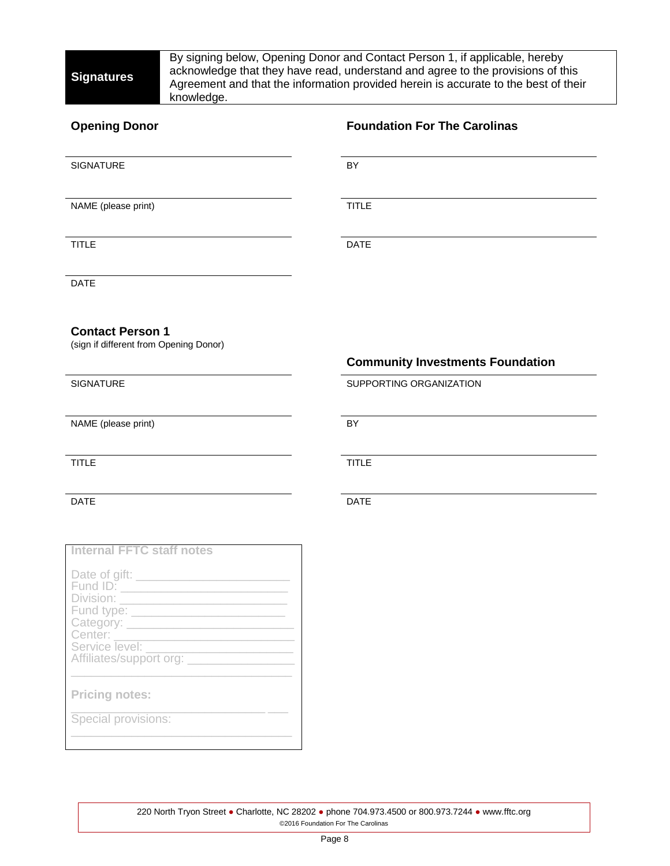Division: \_\_\_\_\_\_\_\_\_\_\_\_\_\_\_\_\_\_\_\_\_\_\_\_\_ Fund type: \_\_\_\_\_\_\_\_\_\_\_\_\_\_\_\_\_\_\_\_\_\_\_

\_\_\_\_\_\_\_\_\_\_\_\_\_\_\_\_\_\_\_\_\_\_\_\_\_\_\_\_\_\_\_\_\_

Center:

Service level:

**Pricing notes:** 

Special provisions:

Affiliates/support org: \_\_\_\_\_\_\_\_\_\_\_\_\_\_\_\_

By signing below, Opening Donor and Contact Person 1, if applicable, hereby acknowledge that they have read, understand and agree to the provisions of this Agreement and that the information provided herein is accurate to the best of their knowledge.

| <b>Opening Donor</b>                                              | <b>Foundation For The Carolinas</b>     |
|-------------------------------------------------------------------|-----------------------------------------|
| SIGNATURE                                                         | BY                                      |
| NAME (please print)                                               | <b>TITLE</b>                            |
| <b>TITLE</b>                                                      | <b>DATE</b>                             |
| <b>DATE</b>                                                       |                                         |
| <b>Contact Person 1</b><br>(sign if different from Opening Donor) | <b>Community Investments Foundation</b> |
| SIGNATURE                                                         | SUPPORTING ORGANIZATION                 |
| NAME (please print)                                               | BY                                      |
| <b>TITLE</b>                                                      | <b>TITLE</b>                            |
| <b>DATE</b>                                                       | <b>DATE</b>                             |
| <b>Internal FFTC staff notes</b><br>Date of gift:<br>Fund ID:     |                                         |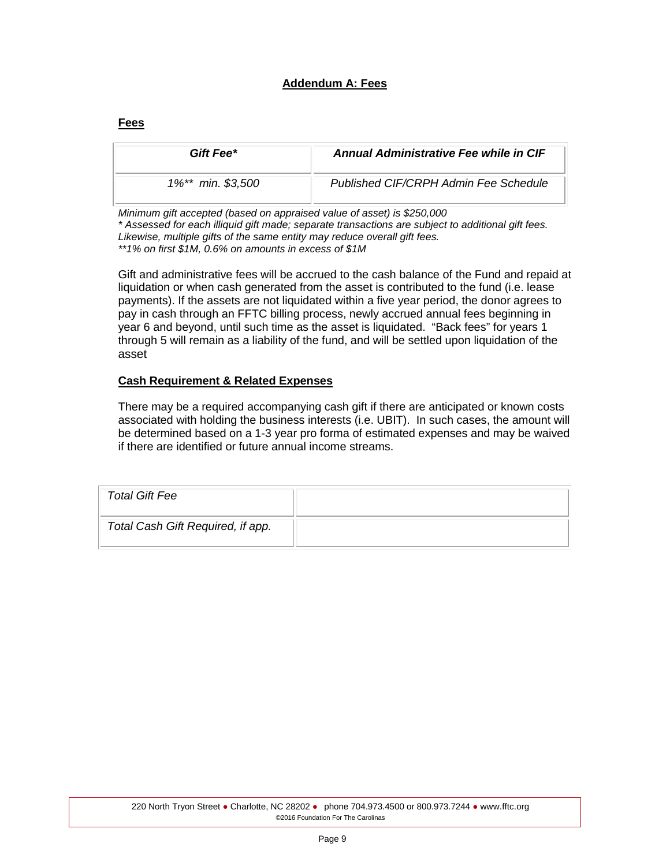## **Addendum A: Fees**

## **Fees**

| Gift Fee*         | Annual Administrative Fee while in CIF |
|-------------------|----------------------------------------|
| 1%** min. \$3,500 | Published CIF/CRPH Admin Fee Schedule  |

*Minimum gift accepted (based on appraised value of asset) is \$250,000*

*\* Assessed for each illiquid gift made; separate transactions are subject to additional gift fees. Likewise, multiple gifts of the same entity may reduce overall gift fees.*

*\*\*1% on first \$1M, 0.6% on amounts in excess of \$1M*

Gift and administrative fees will be accrued to the cash balance of the Fund and repaid at liquidation or when cash generated from the asset is contributed to the fund (i.e. lease payments). If the assets are not liquidated within a five year period, the donor agrees to pay in cash through an FFTC billing process, newly accrued annual fees beginning in year 6 and beyond, until such time as the asset is liquidated. "Back fees" for years 1 through 5 will remain as a liability of the fund, and will be settled upon liquidation of the asset

## **Cash Requirement & Related Expenses**

There may be a required accompanying cash gift if there are anticipated or known costs associated with holding the business interests (i.e. UBIT). In such cases, the amount will be determined based on a 1-3 year pro forma of estimated expenses and may be waived if there are identified or future annual income streams.

| <b>Total Gift Fee</b>             |  |
|-----------------------------------|--|
| Total Cash Gift Required, if app. |  |